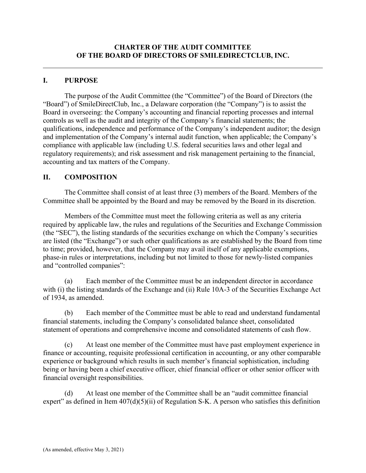# **I. PURPOSE**

The purpose of the Audit Committee (the "Committee") of the Board of Directors (the "Board") of SmileDirectClub, Inc., a Delaware corporation (the "Company") is to assist the Board in overseeing: the Company's accounting and financial reporting processes and internal controls as well as the audit and integrity of the Company's financial statements; the qualifications, independence and performance of the Company's independent auditor; the design and implementation of the Company's internal audit function, when applicable; the Company's compliance with applicable law (including U.S. federal securities laws and other legal and regulatory requirements); and risk assessment and risk management pertaining to the financial, accounting and tax matters of the Company.

# **II. COMPOSITION**

The Committee shall consist of at least three (3) members of the Board. Members of the Committee shall be appointed by the Board and may be removed by the Board in its discretion.

Members of the Committee must meet the following criteria as well as any criteria required by applicable law, the rules and regulations of the Securities and Exchange Commission (the "SEC"), the listing standards of the securities exchange on which the Company's securities are listed (the "Exchange") or such other qualifications as are established by the Board from time to time; provided, however, that the Company may avail itself of any applicable exemptions, phase-in rules or interpretations, including but not limited to those for newly-listed companies and "controlled companies":

(a) Each member of the Committee must be an independent director in accordance with (i) the listing standards of the Exchange and (ii) Rule 10A-3 of the Securities Exchange Act of 1934, as amended.

(b) Each member of the Committee must be able to read and understand fundamental financial statements, including the Company's consolidated balance sheet, consolidated statement of operations and comprehensive income and consolidated statements of cash flow.

(c) At least one member of the Committee must have past employment experience in finance or accounting, requisite professional certification in accounting, or any other comparable experience or background which results in such member's financial sophistication, including being or having been a chief executive officer, chief financial officer or other senior officer with financial oversight responsibilities.

(d) At least one member of the Committee shall be an "audit committee financial expert" as defined in Item  $407(d)(5)(ii)$  of Regulation S-K. A person who satisfies this definition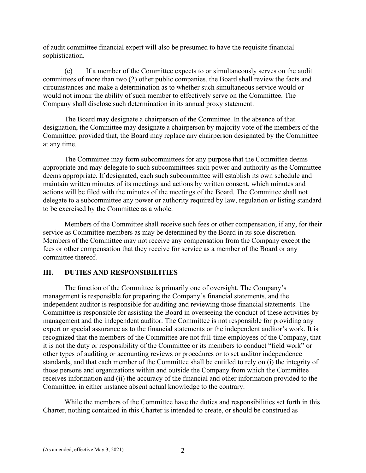of audit committee financial expert will also be presumed to have the requisite financial sophistication.

(e) If a member of the Committee expects to or simultaneously serves on the audit committees of more than two (2) other public companies, the Board shall review the facts and circumstances and make a determination as to whether such simultaneous service would or would not impair the ability of such member to effectively serve on the Committee. The Company shall disclose such determination in its annual proxy statement.

The Board may designate a chairperson of the Committee. In the absence of that designation, the Committee may designate a chairperson by majority vote of the members of the Committee; provided that, the Board may replace any chairperson designated by the Committee at any time.

The Committee may form subcommittees for any purpose that the Committee deems appropriate and may delegate to such subcommittees such power and authority as the Committee deems appropriate. If designated, each such subcommittee will establish its own schedule and maintain written minutes of its meetings and actions by written consent, which minutes and actions will be filed with the minutes of the meetings of the Board. The Committee shall not delegate to a subcommittee any power or authority required by law, regulation or listing standard to be exercised by the Committee as a whole.

Members of the Committee shall receive such fees or other compensation, if any, for their service as Committee members as may be determined by the Board in its sole discretion. Members of the Committee may not receive any compensation from the Company except the fees or other compensation that they receive for service as a member of the Board or any committee thereof.

## **III. DUTIES AND RESPONSIBILITIES**

The function of the Committee is primarily one of oversight. The Company's management is responsible for preparing the Company's financial statements, and the independent auditor is responsible for auditing and reviewing those financial statements. The Committee is responsible for assisting the Board in overseeing the conduct of these activities by management and the independent auditor. The Committee is not responsible for providing any expert or special assurance as to the financial statements or the independent auditor's work. It is recognized that the members of the Committee are not full-time employees of the Company, that it is not the duty or responsibility of the Committee or its members to conduct "field work" or other types of auditing or accounting reviews or procedures or to set auditor independence standards, and that each member of the Committee shall be entitled to rely on (i) the integrity of those persons and organizations within and outside the Company from which the Committee receives information and (ii) the accuracy of the financial and other information provided to the Committee, in either instance absent actual knowledge to the contrary.

While the members of the Committee have the duties and responsibilities set forth in this Charter, nothing contained in this Charter is intended to create, or should be construed as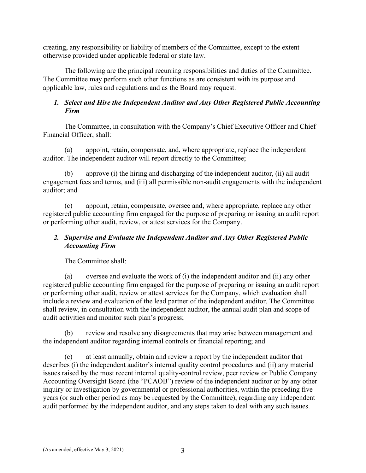creating, any responsibility or liability of members of the Committee, except to the extent otherwise provided under applicable federal or state law.

The following are the principal recurring responsibilities and duties of the Committee. The Committee may perform such other functions as are consistent with its purpose and applicable law, rules and regulations and as the Board may request.

# *1. Select and Hire the Independent Auditor and Any Other Registered Public Accounting Firm*

The Committee, in consultation with the Company's Chief Executive Officer and Chief Financial Officer, shall:

(a) appoint, retain, compensate, and, where appropriate, replace the independent auditor. The independent auditor will report directly to the Committee;

(b) approve (i) the hiring and discharging of the independent auditor, (ii) all audit engagement fees and terms, and (iii) all permissible non-audit engagements with the independent auditor; and

(c) appoint, retain, compensate, oversee and, where appropriate, replace any other registered public accounting firm engaged for the purpose of preparing or issuing an audit report or performing other audit, review, or attest services for the Company.

# *2. Supervise and Evaluate the Independent Auditor and Any Other Registered Public Accounting Firm*

The Committee shall:

(a) oversee and evaluate the work of (i) the independent auditor and (ii) any other registered public accounting firm engaged for the purpose of preparing or issuing an audit report or performing other audit, review or attest services for the Company, which evaluation shall include a review and evaluation of the lead partner of the independent auditor. The Committee shall review, in consultation with the independent auditor, the annual audit plan and scope of audit activities and monitor such plan's progress;

(b) review and resolve any disagreements that may arise between management and the independent auditor regarding internal controls or financial reporting; and

(c) at least annually, obtain and review a report by the independent auditor that describes (i) the independent auditor's internal quality control procedures and (ii) any material issues raised by the most recent internal quality-control review, peer review or Public Company Accounting Oversight Board (the "PCAOB") review of the independent auditor or by any other inquiry or investigation by governmental or professional authorities, within the preceding five years (or such other period as may be requested by the Committee), regarding any independent audit performed by the independent auditor, and any steps taken to deal with any such issues.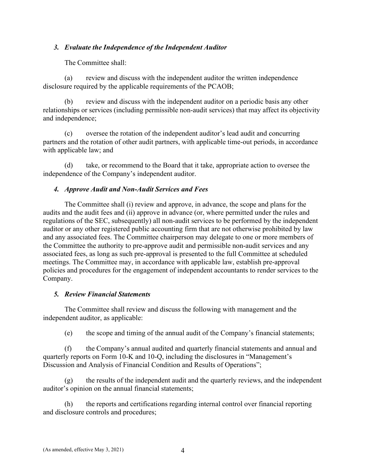## *3. Evaluate the Independence of the Independent Auditor*

The Committee shall:

(a) review and discuss with the independent auditor the written independence disclosure required by the applicable requirements of the PCAOB;

(b) review and discuss with the independent auditor on a periodic basis any other relationships or services (including permissible non-audit services) that may affect its objectivity and independence;

(c) oversee the rotation of the independent auditor's lead audit and concurring partners and the rotation of other audit partners, with applicable time-out periods, in accordance with applicable law; and

(d) take, or recommend to the Board that it take, appropriate action to oversee the independence of the Company's independent auditor.

## *4. Approve Audit and Non-Audit Services and Fees*

The Committee shall (i) review and approve, in advance, the scope and plans for the audits and the audit fees and (ii) approve in advance (or, where permitted under the rules and regulations of the SEC, subsequently) all non-audit services to be performed by the independent auditor or any other registered public accounting firm that are not otherwise prohibited by law and any associated fees. The Committee chairperson may delegate to one or more members of the Committee the authority to pre-approve audit and permissible non-audit services and any associated fees, as long as such pre-approval is presented to the full Committee at scheduled meetings. The Committee may, in accordance with applicable law, establish pre-approval policies and procedures for the engagement of independent accountants to render services to the Company.

#### *5. Review Financial Statements*

The Committee shall review and discuss the following with management and the independent auditor, as applicable:

(e) the scope and timing of the annual audit of the Company's financial statements;

(f) the Company's annual audited and quarterly financial statements and annual and quarterly reports on Form 10-K and 10-Q, including the disclosures in "Management's Discussion and Analysis of Financial Condition and Results of Operations";

 $(g)$  the results of the independent audit and the quarterly reviews, and the independent auditor's opinion on the annual financial statements;

(h) the reports and certifications regarding internal control over financial reporting and disclosure controls and procedures;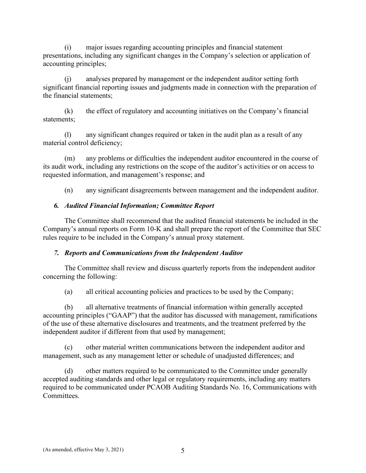(i) major issues regarding accounting principles and financial statement presentations, including any significant changes in the Company's selection or application of accounting principles;

(j) analyses prepared by management or the independent auditor setting forth significant financial reporting issues and judgments made in connection with the preparation of the financial statements;

(k) the effect of regulatory and accounting initiatives on the Company's financial statements;

(l) any significant changes required or taken in the audit plan as a result of any material control deficiency;

(m) any problems or difficulties the independent auditor encountered in the course of its audit work, including any restrictions on the scope of the auditor's activities or on access to requested information, and management's response; and

(n) any significant disagreements between management and the independent auditor.

# *6. Audited Financial Information; Committee Report*

The Committee shall recommend that the audited financial statements be included in the Company's annual reports on Form 10-K and shall prepare the report of the Committee that SEC rules require to be included in the Company's annual proxy statement.

# *7. Reports and Communications from the Independent Auditor*

The Committee shall review and discuss quarterly reports from the independent auditor concerning the following:

(a) all critical accounting policies and practices to be used by the Company;

(b) all alternative treatments of financial information within generally accepted accounting principles ("GAAP") that the auditor has discussed with management, ramifications of the use of these alternative disclosures and treatments, and the treatment preferred by the independent auditor if different from that used by management;

(c) other material written communications between the independent auditor and management, such as any management letter or schedule of unadjusted differences; and

(d) other matters required to be communicated to the Committee under generally accepted auditing standards and other legal or regulatory requirements, including any matters required to be communicated under PCAOB Auditing Standards No. 16, Communications with Committees.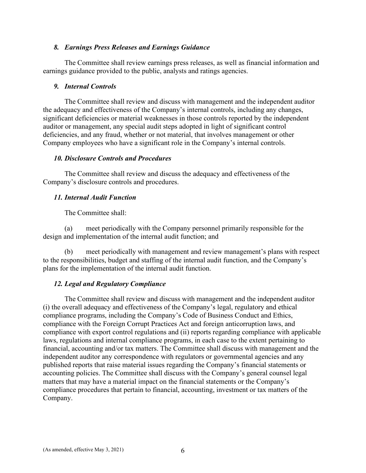## *8. Earnings Press Releases and Earnings Guidance*

The Committee shall review earnings press releases, as well as financial information and earnings guidance provided to the public, analysts and ratings agencies.

### *9. Internal Controls*

The Committee shall review and discuss with management and the independent auditor the adequacy and effectiveness of the Company's internal controls, including any changes, significant deficiencies or material weaknesses in those controls reported by the independent auditor or management, any special audit steps adopted in light of significant control deficiencies, and any fraud, whether or not material, that involves management or other Company employees who have a significant role in the Company's internal controls.

## *10. Disclosure Controls and Procedures*

The Committee shall review and discuss the adequacy and effectiveness of the Company's disclosure controls and procedures.

## *11. Internal Audit Function*

The Committee shall:

(a) meet periodically with the Company personnel primarily responsible for the design and implementation of the internal audit function; and

(b) meet periodically with management and review management's plans with respect to the responsibilities, budget and staffing of the internal audit function, and the Company's plans for the implementation of the internal audit function.

## *12. Legal and Regulatory Compliance*

The Committee shall review and discuss with management and the independent auditor (i) the overall adequacy and effectiveness of the Company's legal, regulatory and ethical compliance programs, including the Company's Code of Business Conduct and Ethics, compliance with the Foreign Corrupt Practices Act and foreign anticorruption laws, and compliance with export control regulations and (ii) reports regarding compliance with applicable laws, regulations and internal compliance programs, in each case to the extent pertaining to financial, accounting and/or tax matters. The Committee shall discuss with management and the independent auditor any correspondence with regulators or governmental agencies and any published reports that raise material issues regarding the Company's financial statements or accounting policies. The Committee shall discuss with the Company's general counsel legal matters that may have a material impact on the financial statements or the Company's compliance procedures that pertain to financial, accounting, investment or tax matters of the Company.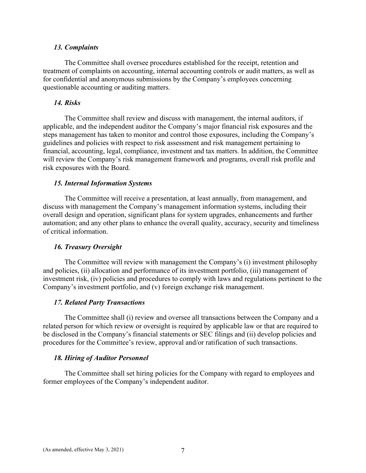#### *13. Complaints*

The Committee shall oversee procedures established for the receipt, retention and treatment of complaints on accounting, internal accounting controls or audit matters, as well as for confidential and anonymous submissions by the Company's employees concerning questionable accounting or auditing matters.

#### *14. Risks*

The Committee shall review and discuss with management, the internal auditors, if applicable, and the independent auditor the Company's major financial risk exposures and the steps management has taken to monitor and control those exposures, including the Company's guidelines and policies with respect to risk assessment and risk management pertaining to financial, accounting, legal, compliance, investment and tax matters. In addition, the Committee will review the Company's risk management framework and programs, overall risk profile and risk exposures with the Board.

#### *15. Internal Information Systems*

The Committee will receive a presentation, at least annually, from management, and discuss with management the Company's management information systems, including their overall design and operation, significant plans for system upgrades, enhancements and further automation; and any other plans to enhance the overall quality, accuracy, security and timeliness of critical information.

#### *16. Treasury Oversight*

The Committee will review with management the Company's (i) investment philosophy and policies, (ii) allocation and performance of its investment portfolio, (iii) management of investment risk, (iv) policies and procedures to comply with laws and regulations pertinent to the Company's investment portfolio, and (v) foreign exchange risk management.

#### *17. Related Party Transactions*

The Committee shall (i) review and oversee all transactions between the Company and a related person for which review or oversight is required by applicable law or that are required to be disclosed in the Company's financial statements or SEC filings and (ii) develop policies and procedures for the Committee's review, approval and/or ratification of such transactions.

#### *18. Hiring of Auditor Personnel*

The Committee shall set hiring policies for the Company with regard to employees and former employees of the Company's independent auditor.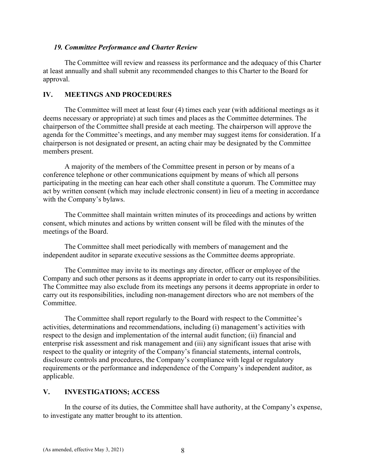### *19. Committee Performance and Charter Review*

The Committee will review and reassess its performance and the adequacy of this Charter at least annually and shall submit any recommended changes to this Charter to the Board for approval.

## **IV. MEETINGS AND PROCEDURES**

The Committee will meet at least four (4) times each year (with additional meetings as it deems necessary or appropriate) at such times and places as the Committee determines. The chairperson of the Committee shall preside at each meeting. The chairperson will approve the agenda for the Committee's meetings, and any member may suggest items for consideration. If a chairperson is not designated or present, an acting chair may be designated by the Committee members present.

A majority of the members of the Committee present in person or by means of a conference telephone or other communications equipment by means of which all persons participating in the meeting can hear each other shall constitute a quorum. The Committee may act by written consent (which may include electronic consent) in lieu of a meeting in accordance with the Company's bylaws.

The Committee shall maintain written minutes of its proceedings and actions by written consent, which minutes and actions by written consent will be filed with the minutes of the meetings of the Board.

The Committee shall meet periodically with members of management and the independent auditor in separate executive sessions as the Committee deems appropriate.

The Committee may invite to its meetings any director, officer or employee of the Company and such other persons as it deems appropriate in order to carry out its responsibilities. The Committee may also exclude from its meetings any persons it deems appropriate in order to carry out its responsibilities, including non-management directors who are not members of the Committee.

The Committee shall report regularly to the Board with respect to the Committee's activities, determinations and recommendations, including (i) management's activities with respect to the design and implementation of the internal audit function; (ii) financial and enterprise risk assessment and risk management and (iii) any significant issues that arise with respect to the quality or integrity of the Company's financial statements, internal controls, disclosure controls and procedures, the Company's compliance with legal or regulatory requirements or the performance and independence of the Company's independent auditor, as applicable.

## **V. INVESTIGATIONS; ACCESS**

In the course of its duties, the Committee shall have authority, at the Company's expense, to investigate any matter brought to its attention.